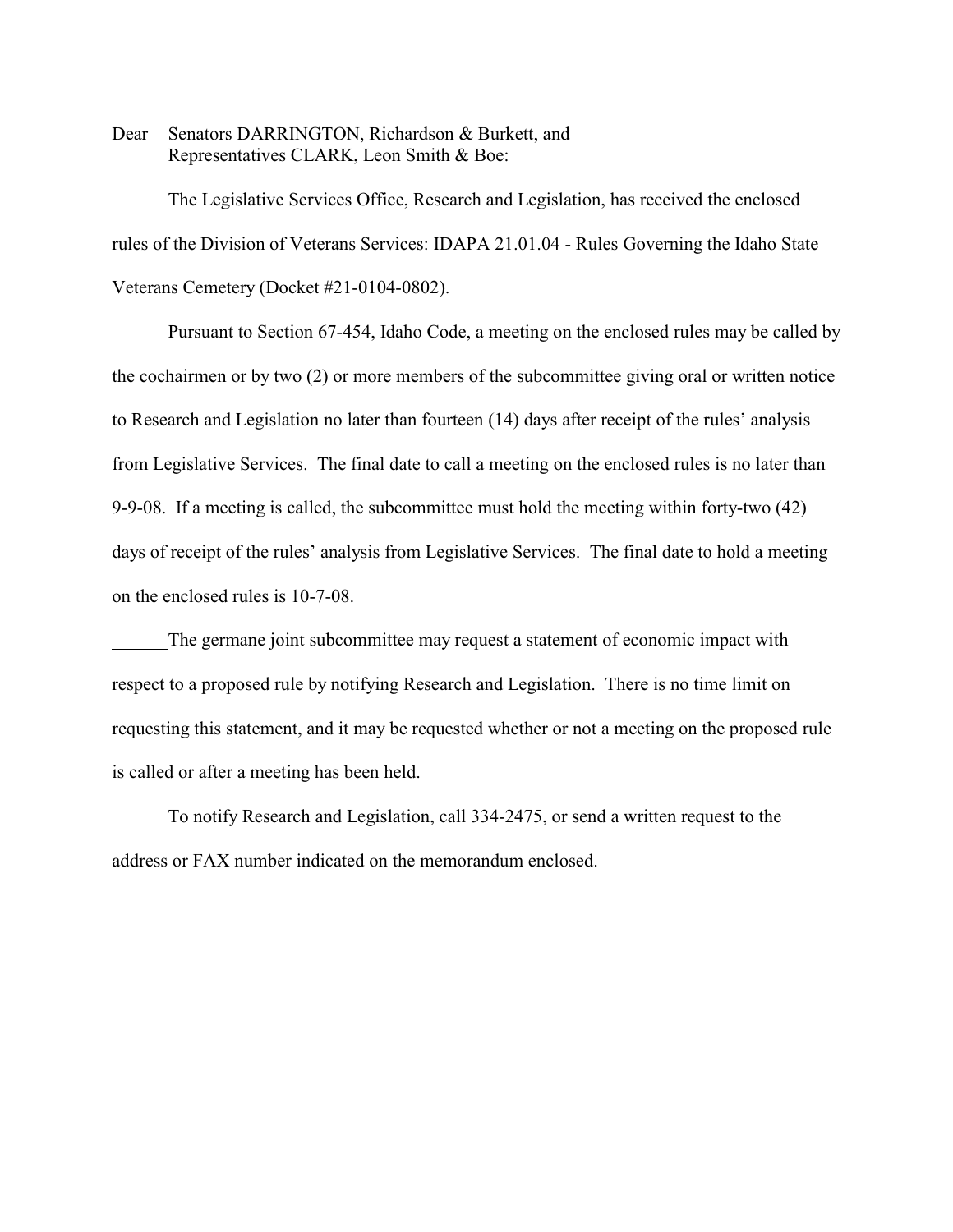Dear Senators DARRINGTON, Richardson & Burkett, and Representatives CLARK, Leon Smith & Boe:

The Legislative Services Office, Research and Legislation, has received the enclosed rules of the Division of Veterans Services: IDAPA 21.01.04 - Rules Governing the Idaho State Veterans Cemetery (Docket #21-0104-0802).

Pursuant to Section 67-454, Idaho Code, a meeting on the enclosed rules may be called by the cochairmen or by two (2) or more members of the subcommittee giving oral or written notice to Research and Legislation no later than fourteen (14) days after receipt of the rules' analysis from Legislative Services. The final date to call a meeting on the enclosed rules is no later than 9-9-08. If a meeting is called, the subcommittee must hold the meeting within forty-two (42) days of receipt of the rules' analysis from Legislative Services. The final date to hold a meeting on the enclosed rules is 10-7-08.

The germane joint subcommittee may request a statement of economic impact with respect to a proposed rule by notifying Research and Legislation. There is no time limit on requesting this statement, and it may be requested whether or not a meeting on the proposed rule is called or after a meeting has been held.

To notify Research and Legislation, call 334-2475, or send a written request to the address or FAX number indicated on the memorandum enclosed.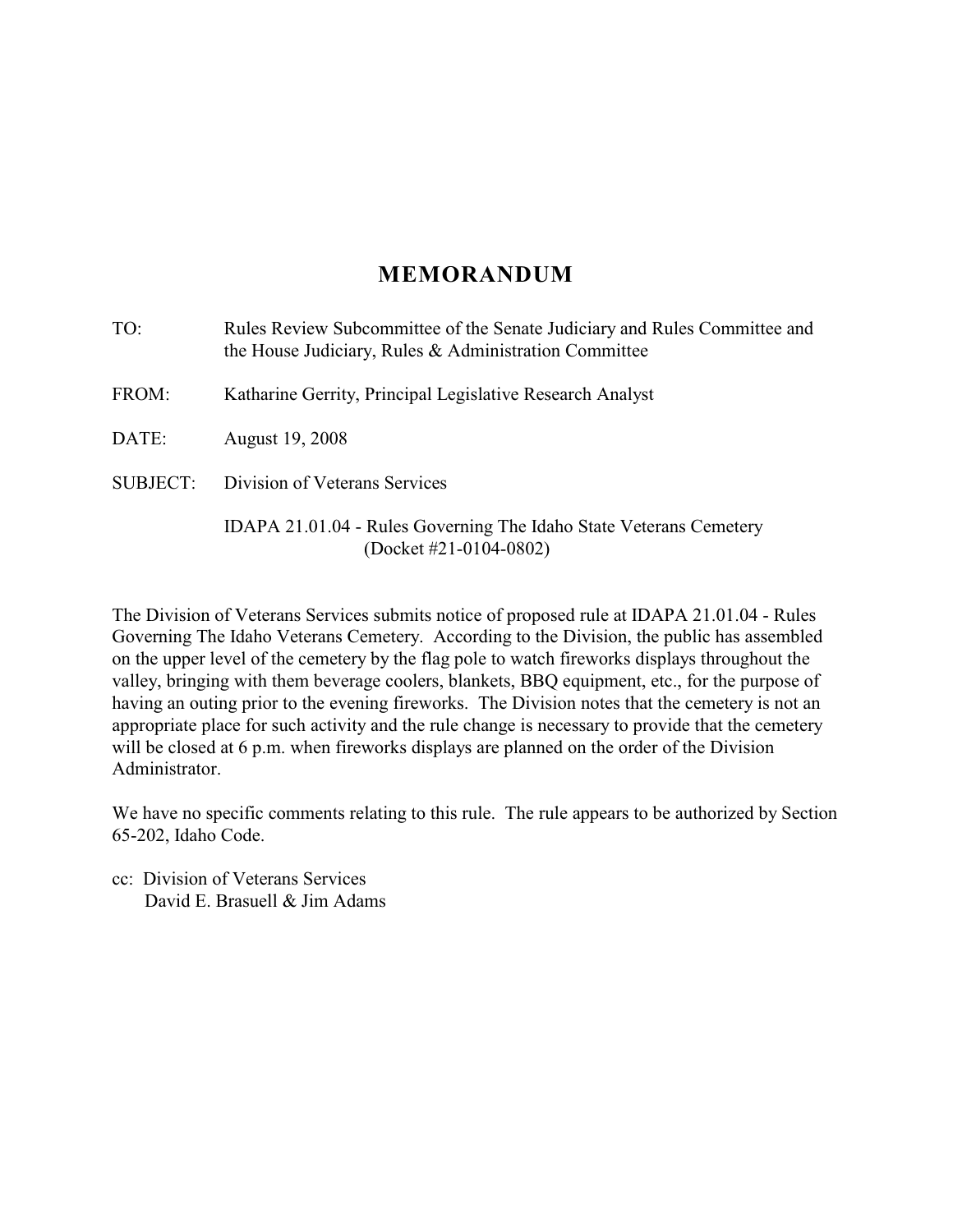# **MEMORANDUM**

| TO:             | Rules Review Subcommittee of the Senate Judiciary and Rules Committee and<br>the House Judiciary, Rules & Administration Committee |
|-----------------|------------------------------------------------------------------------------------------------------------------------------------|
| FROM:           | Katharine Gerrity, Principal Legislative Research Analyst                                                                          |
| DATE:           | August 19, 2008                                                                                                                    |
| <b>SUBJECT:</b> | Division of Veterans Services                                                                                                      |
|                 | IDAPA 21.01.04 - Rules Governing The Idaho State Veterans Cemetery<br>(Docket #21-0104-0802)                                       |

The Division of Veterans Services submits notice of proposed rule at IDAPA 21.01.04 - Rules Governing The Idaho Veterans Cemetery. According to the Division, the public has assembled on the upper level of the cemetery by the flag pole to watch fireworks displays throughout the valley, bringing with them beverage coolers, blankets, BBQ equipment, etc., for the purpose of having an outing prior to the evening fireworks. The Division notes that the cemetery is not an appropriate place for such activity and the rule change is necessary to provide that the cemetery will be closed at 6 p.m. when fireworks displays are planned on the order of the Division Administrator.

We have no specific comments relating to this rule. The rule appears to be authorized by Section 65-202, Idaho Code.

cc: Division of Veterans Services David E. Brasuell & Jim Adams